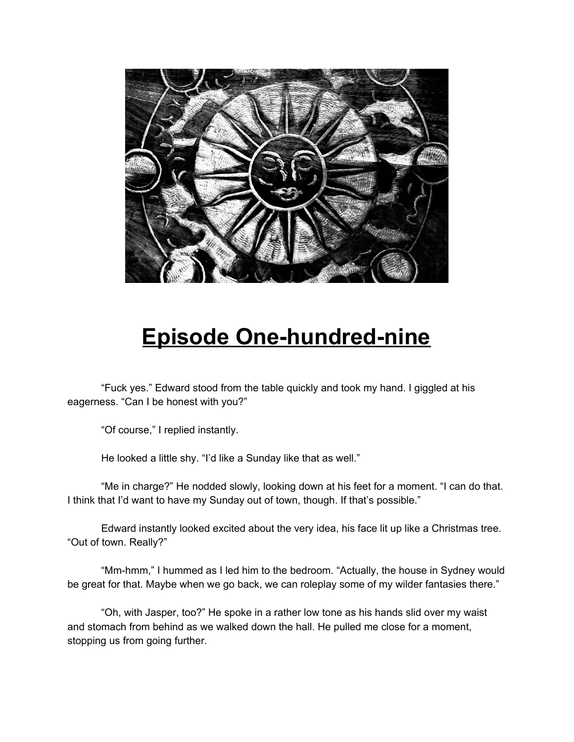

## **Episode One-hundred-nine**

"Fuck yes." Edward stood from the table quickly and took my hand. I giggled at his eagerness. "Can I be honest with you?"

"Of course," I replied instantly.

He looked a little shy. "I'd like a Sunday like that as well."

"Me in charge?" He nodded slowly, looking down at his feet for a moment. "I can do that. I think that I'd want to have my Sunday out of town, though. If that's possible."

Edward instantly looked excited about the very idea, his face lit up like a Christmas tree. "Out of town. Really?"

"Mm-hmm," I hummed as I led him to the bedroom. "Actually, the house in Sydney would be great for that. Maybe when we go back, we can roleplay some of my wilder fantasies there."

"Oh, with Jasper, too?" He spoke in a rather low tone as his hands slid over my waist and stomach from behind as we walked down the hall. He pulled me close for a moment, stopping us from going further.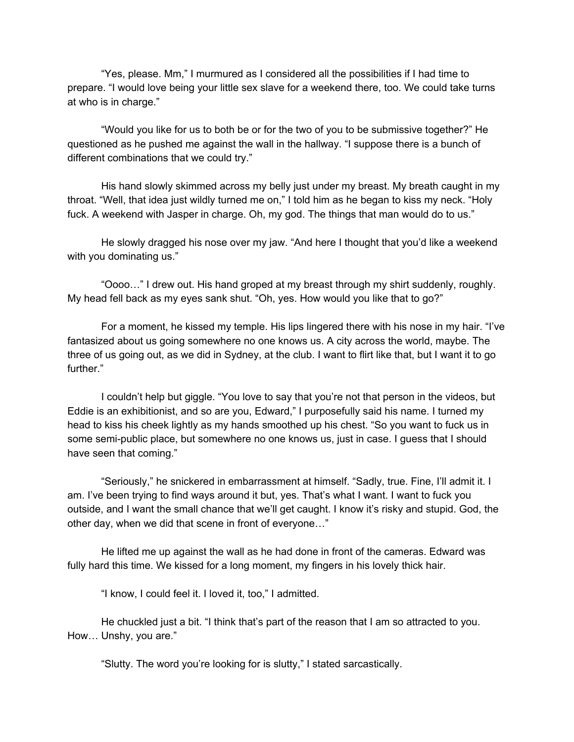"Yes, please. Mm," I murmured as I considered all the possibilities if I had time to prepare. "I would love being your little sex slave for a weekend there, too. We could take turns at who is in charge."

"Would you like for us to both be or for the two of you to be submissive together?" He questioned as he pushed me against the wall in the hallway. "I suppose there is a bunch of different combinations that we could try."

His hand slowly skimmed across my belly just under my breast. My breath caught in my throat. "Well, that idea just wildly turned me on," I told him as he began to kiss my neck. "Holy fuck. A weekend with Jasper in charge. Oh, my god. The things that man would do to us."

He slowly dragged his nose over my jaw. "And here I thought that you'd like a weekend with you dominating us."

"Oooo…" I drew out. His hand groped at my breast through my shirt suddenly, roughly. My head fell back as my eyes sank shut. "Oh, yes. How would you like that to go?"

For a moment, he kissed my temple. His lips lingered there with his nose in my hair. "I've fantasized about us going somewhere no one knows us. A city across the world, maybe. The three of us going out, as we did in Sydney, at the club. I want to flirt like that, but I want it to go further."

I couldn't help but giggle. "You love to say that you're not that person in the videos, but Eddie is an exhibitionist, and so are you, Edward," I purposefully said his name. I turned my head to kiss his cheek lightly as my hands smoothed up his chest. "So you want to fuck us in some semi-public place, but somewhere no one knows us, just in case. I guess that I should have seen that coming."

"Seriously," he snickered in embarrassment at himself. "Sadly, true. Fine, I'll admit it. I am. I've been trying to find ways around it but, yes. That's what I want. I want to fuck you outside, and I want the small chance that we'll get caught. I know it's risky and stupid. God, the other day, when we did that scene in front of everyone…"

He lifted me up against the wall as he had done in front of the cameras. Edward was fully hard this time. We kissed for a long moment, my fingers in his lovely thick hair.

"I know, I could feel it. I loved it, too," I admitted.

He chuckled just a bit. "I think that's part of the reason that I am so attracted to you. How… Unshy, you are."

"Slutty. The word you're looking for is slutty," I stated sarcastically.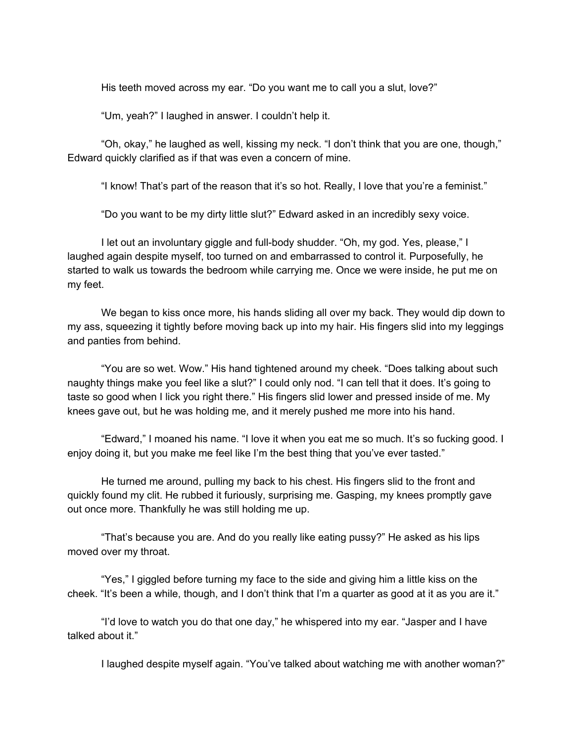His teeth moved across my ear. "Do you want me to call you a slut, love?"

"Um, yeah?" I laughed in answer. I couldn't help it.

"Oh, okay," he laughed as well, kissing my neck. "I don't think that you are one, though," Edward quickly clarified as if that was even a concern of mine.

"I know! That's part of the reason that it's so hot. Really, I love that you're a feminist."

"Do you want to be my dirty little slut?" Edward asked in an incredibly sexy voice.

I let out an involuntary giggle and full-body shudder. "Oh, my god. Yes, please," I laughed again despite myself, too turned on and embarrassed to control it. Purposefully, he started to walk us towards the bedroom while carrying me. Once we were inside, he put me on my feet.

We began to kiss once more, his hands sliding all over my back. They would dip down to my ass, squeezing it tightly before moving back up into my hair. His fingers slid into my leggings and panties from behind.

"You are so wet. Wow." His hand tightened around my cheek. "Does talking about such naughty things make you feel like a slut?" I could only nod. "I can tell that it does. It's going to taste so good when I lick you right there." His fingers slid lower and pressed inside of me. My knees gave out, but he was holding me, and it merely pushed me more into his hand.

"Edward," I moaned his name. "I love it when you eat me so much. It's so fucking good. I enjoy doing it, but you make me feel like I'm the best thing that you've ever tasted."

He turned me around, pulling my back to his chest. His fingers slid to the front and quickly found my clit. He rubbed it furiously, surprising me. Gasping, my knees promptly gave out once more. Thankfully he was still holding me up.

"That's because you are. And do you really like eating pussy?" He asked as his lips moved over my throat.

"Yes," I giggled before turning my face to the side and giving him a little kiss on the cheek. "It's been a while, though, and I don't think that I'm a quarter as good at it as you are it."

"I'd love to watch you do that one day," he whispered into my ear. "Jasper and I have talked about it."

I laughed despite myself again. "You've talked about watching me with another woman?"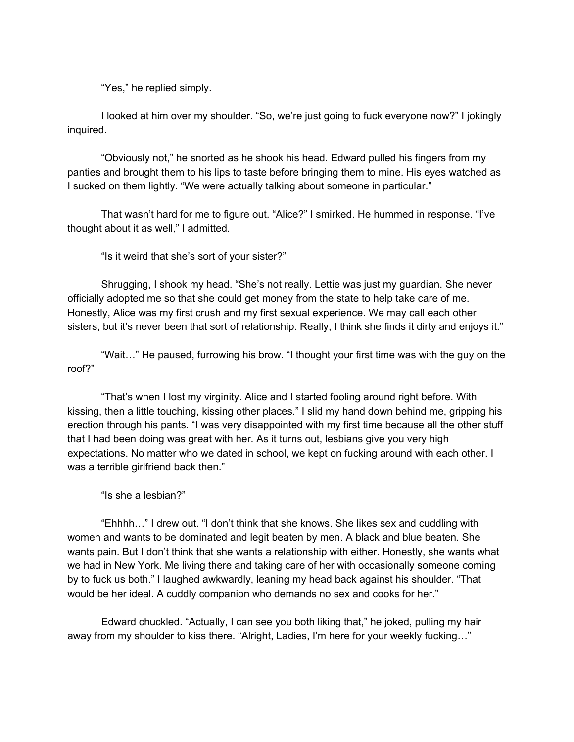"Yes," he replied simply.

I looked at him over my shoulder. "So, we're just going to fuck everyone now?" I jokingly inquired.

"Obviously not," he snorted as he shook his head. Edward pulled his fingers from my panties and brought them to his lips to taste before bringing them to mine. His eyes watched as I sucked on them lightly. "We were actually talking about someone in particular."

That wasn't hard for me to figure out. "Alice?" I smirked. He hummed in response. "I've thought about it as well," I admitted.

"Is it weird that she's sort of your sister?"

Shrugging, I shook my head. "She's not really. Lettie was just my guardian. She never officially adopted me so that she could get money from the state to help take care of me. Honestly, Alice was my first crush and my first sexual experience. We may call each other sisters, but it's never been that sort of relationship. Really, I think she finds it dirty and enjoys it."

"Wait…" He paused, furrowing his brow. "I thought your first time was with the guy on the roof?"

"That's when I lost my virginity. Alice and I started fooling around right before. With kissing, then a little touching, kissing other places." I slid my hand down behind me, gripping his erection through his pants. "I was very disappointed with my first time because all the other stuff that I had been doing was great with her. As it turns out, lesbians give you very high expectations. No matter who we dated in school, we kept on fucking around with each other. I was a terrible girlfriend back then."

"Is she a lesbian?"

"Ehhhh…" I drew out. "I don't think that she knows. She likes sex and cuddling with women and wants to be dominated and legit beaten by men. A black and blue beaten. She wants pain. But I don't think that she wants a relationship with either. Honestly, she wants what we had in New York. Me living there and taking care of her with occasionally someone coming by to fuck us both." I laughed awkwardly, leaning my head back against his shoulder. "That would be her ideal. A cuddly companion who demands no sex and cooks for her."

Edward chuckled. "Actually, I can see you both liking that," he joked, pulling my hair away from my shoulder to kiss there. "Alright, Ladies, I'm here for your weekly fucking…"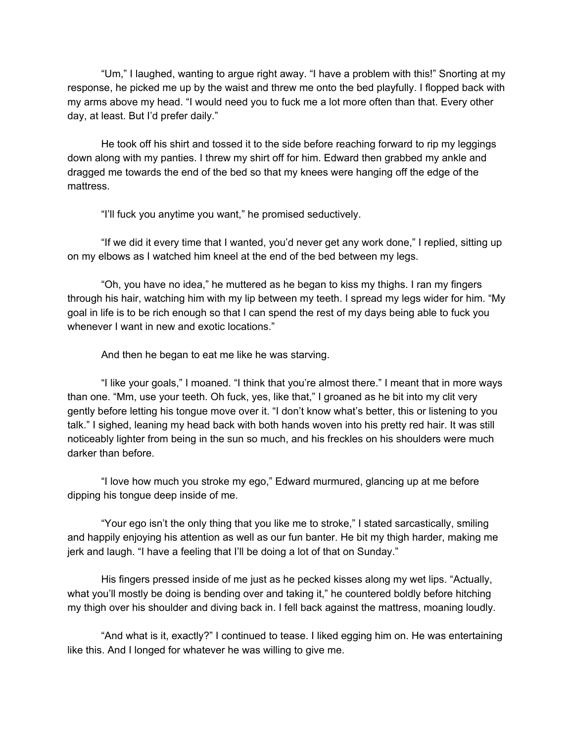"Um," I laughed, wanting to argue right away. "I have a problem with this!" Snorting at my response, he picked me up by the waist and threw me onto the bed playfully. I flopped back with my arms above my head. "I would need you to fuck me a lot more often than that. Every other day, at least. But I'd prefer daily."

He took off his shirt and tossed it to the side before reaching forward to rip my leggings down along with my panties. I threw my shirt off for him. Edward then grabbed my ankle and dragged me towards the end of the bed so that my knees were hanging off the edge of the mattress.

"I'll fuck you anytime you want," he promised seductively.

"If we did it every time that I wanted, you'd never get any work done," I replied, sitting up on my elbows as I watched him kneel at the end of the bed between my legs.

"Oh, you have no idea," he muttered as he began to kiss my thighs. I ran my fingers through his hair, watching him with my lip between my teeth. I spread my legs wider for him. "My goal in life is to be rich enough so that I can spend the rest of my days being able to fuck you whenever I want in new and exotic locations."

And then he began to eat me like he was starving.

"I like your goals," I moaned. "I think that you're almost there." I meant that in more ways than one. "Mm, use your teeth. Oh fuck, yes, like that," I groaned as he bit into my clit very gently before letting his tongue move over it. "I don't know what's better, this or listening to you talk." I sighed, leaning my head back with both hands woven into his pretty red hair. It was still noticeably lighter from being in the sun so much, and his freckles on his shoulders were much darker than before.

"I love how much you stroke my ego," Edward murmured, glancing up at me before dipping his tongue deep inside of me.

"Your ego isn't the only thing that you like me to stroke," I stated sarcastically, smiling and happily enjoying his attention as well as our fun banter. He bit my thigh harder, making me jerk and laugh. "I have a feeling that I'll be doing a lot of that on Sunday."

His fingers pressed inside of me just as he pecked kisses along my wet lips. "Actually, what you'll mostly be doing is bending over and taking it," he countered boldly before hitching my thigh over his shoulder and diving back in. I fell back against the mattress, moaning loudly.

"And what is it, exactly?" I continued to tease. I liked egging him on. He was entertaining like this. And I longed for whatever he was willing to give me.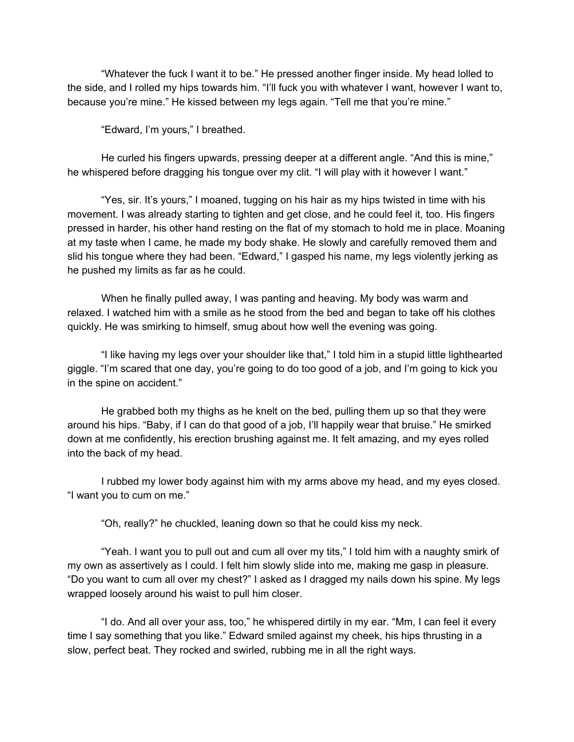"Whatever the fuck I want it to be." He pressed another finger inside. My head lolled to the side, and I rolled my hips towards him. "I'll fuck you with whatever I want, however I want to, because you're mine." He kissed between my legs again. "Tell me that you're mine."

"Edward, I'm yours," I breathed.

He curled his fingers upwards, pressing deeper at a different angle. "And this is mine," he whispered before dragging his tongue over my clit. "I will play with it however I want."

"Yes, sir. It's yours," I moaned, tugging on his hair as my hips twisted in time with his movement. I was already starting to tighten and get close, and he could feel it, too. His fingers pressed in harder, his other hand resting on the flat of my stomach to hold me in place. Moaning at my taste when I came, he made my body shake. He slowly and carefully removed them and slid his tongue where they had been. "Edward," I gasped his name, my legs violently jerking as he pushed my limits as far as he could.

When he finally pulled away, I was panting and heaving. My body was warm and relaxed. I watched him with a smile as he stood from the bed and began to take off his clothes quickly. He was smirking to himself, smug about how well the evening was going.

"I like having my legs over your shoulder like that," I told him in a stupid little lighthearted giggle. "I'm scared that one day, you're going to do too good of a job, and I'm going to kick you in the spine on accident."

He grabbed both my thighs as he knelt on the bed, pulling them up so that they were around his hips. "Baby, if I can do that good of a job, I'll happily wear that bruise." He smirked down at me confidently, his erection brushing against me. It felt amazing, and my eyes rolled into the back of my head.

I rubbed my lower body against him with my arms above my head, and my eyes closed. "I want you to cum on me."

"Oh, really?" he chuckled, leaning down so that he could kiss my neck.

"Yeah. I want you to pull out and cum all over my tits," I told him with a naughty smirk of my own as assertively as I could. I felt him slowly slide into me, making me gasp in pleasure. "Do you want to cum all over my chest?" I asked as I dragged my nails down his spine. My legs wrapped loosely around his waist to pull him closer.

"I do. And all over your ass, too," he whispered dirtily in my ear. "Mm, I can feel it every time I say something that you like." Edward smiled against my cheek, his hips thrusting in a slow, perfect beat. They rocked and swirled, rubbing me in all the right ways.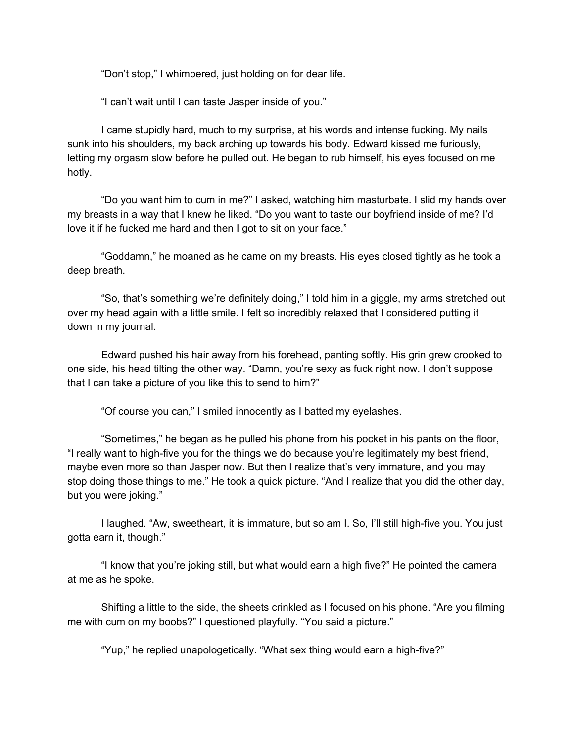"Don't stop," I whimpered, just holding on for dear life.

"I can't wait until I can taste Jasper inside of you."

I came stupidly hard, much to my surprise, at his words and intense fucking. My nails sunk into his shoulders, my back arching up towards his body. Edward kissed me furiously, letting my orgasm slow before he pulled out. He began to rub himself, his eyes focused on me hotly.

"Do you want him to cum in me?" I asked, watching him masturbate. I slid my hands over my breasts in a way that I knew he liked. "Do you want to taste our boyfriend inside of me? I'd love it if he fucked me hard and then I got to sit on your face."

"Goddamn," he moaned as he came on my breasts. His eyes closed tightly as he took a deep breath.

"So, that's something we're definitely doing," I told him in a giggle, my arms stretched out over my head again with a little smile. I felt so incredibly relaxed that I considered putting it down in my journal.

Edward pushed his hair away from his forehead, panting softly. His grin grew crooked to one side, his head tilting the other way. "Damn, you're sexy as fuck right now. I don't suppose that I can take a picture of you like this to send to him?"

"Of course you can," I smiled innocently as I batted my eyelashes.

"Sometimes," he began as he pulled his phone from his pocket in his pants on the floor, "I really want to high-five you for the things we do because you're legitimately my best friend, maybe even more so than Jasper now. But then I realize that's very immature, and you may stop doing those things to me." He took a quick picture. "And I realize that you did the other day, but you were joking."

I laughed. "Aw, sweetheart, it is immature, but so am I. So, I'll still high-five you. You just gotta earn it, though."

"I know that you're joking still, but what would earn a high five?" He pointed the camera at me as he spoke.

Shifting a little to the side, the sheets crinkled as I focused on his phone. "Are you filming me with cum on my boobs?" I questioned playfully. "You said a picture."

"Yup," he replied unapologetically. "What sex thing would earn a high-five?"